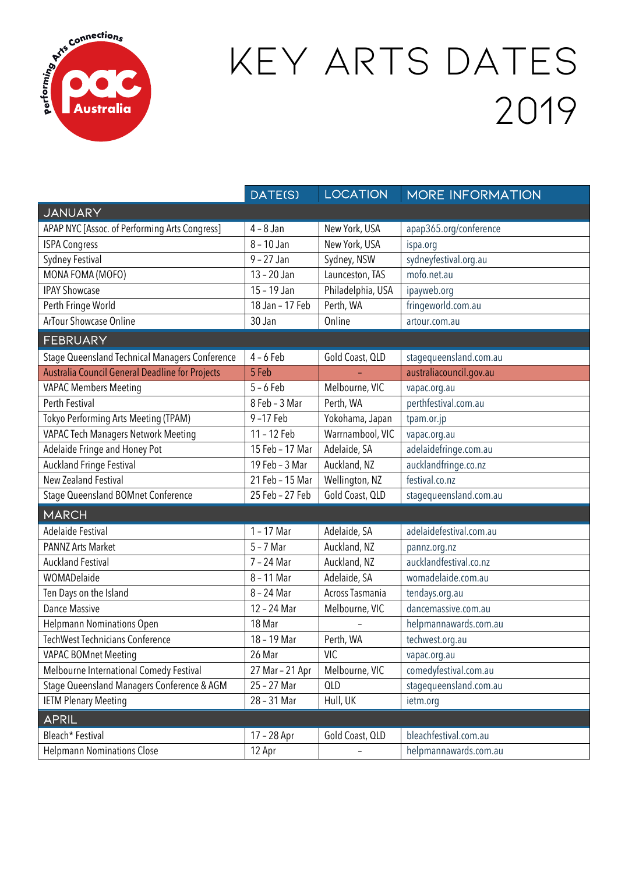

## KEY ARTS DATES 2019

|                                                 | DATE(S)         | <b>LOCATION</b>   | MORE INFORMATION        |  |
|-------------------------------------------------|-----------------|-------------------|-------------------------|--|
| JANUARY                                         |                 |                   |                         |  |
| APAP NYC [Assoc. of Performing Arts Congress]   | $4 - 8$ Jan     | New York, USA     | apap365.org/conference  |  |
| <b>ISPA Congress</b>                            | $8 - 10$ Jan    | New York, USA     | ispa.org                |  |
| Sydney Festival                                 | $9 - 27$ Jan    | Sydney, NSW       | sydneyfestival.org.au   |  |
| MONA FOMA (MOFO)                                | $13 - 20$ Jan   | Launceston, TAS   | mofo.net.au             |  |
| <b>IPAY Showcase</b>                            | 15 - 19 Jan     | Philadelphia, USA | ipayweb.org             |  |
| Perth Fringe World                              | 18 Jan - 17 Feb | Perth, WA         | fringeworld.com.au      |  |
| ArTour Showcase Online                          | 30 Jan          | Online            | artour.com.au           |  |
| <b>FEBRUARY</b>                                 |                 |                   |                         |  |
| Stage Queensland Technical Managers Conference  | $4 - 6$ Feb     | Gold Coast, QLD   | stagequeensland.com.au  |  |
| Australia Council General Deadline for Projects | 5 Feb           |                   | australiacouncil.gov.au |  |
| VAPAC Members Meeting                           | $5 - 6$ Feb     | Melbourne, VIC    | vapac.org.au            |  |
| Perth Festival                                  | 8 Feb - 3 Mar   | Perth, WA         | perthfestival.com.au    |  |
| Tokyo Performing Arts Meeting (TPAM)            | 9-17 Feb        | Yokohama, Japan   | tpam.or.jp              |  |
| VAPAC Tech Managers Network Meeting             | 11 - 12 Feb     | Warrnambool, VIC  | vapac.org.au            |  |
| Adelaide Fringe and Honey Pot                   | 15 Feb - 17 Mar | Adelaide, SA      | adelaidefringe.com.au   |  |
| <b>Auckland Fringe Festival</b>                 | 19 Feb - 3 Mar  | Auckland, NZ      | aucklandfringe.co.nz    |  |
| <b>New Zealand Festival</b>                     | 21 Feb - 15 Mar | Wellington, NZ    | festival.co.nz          |  |
| Stage Queensland BOMnet Conference              | 25 Feb - 27 Feb | Gold Coast, QLD   | stagequeensland.com.au  |  |
| <b>MARCH</b>                                    |                 |                   |                         |  |
| <b>Adelaide Festival</b>                        | $1 - 17$ Mar    | Adelaide, SA      | adelaidefestival.com.au |  |
| PANNZ Arts Market                               | $5 - 7$ Mar     | Auckland, NZ      | pannz.org.nz            |  |
| <b>Auckland Festival</b>                        | 7 - 24 Mar      | Auckland, NZ      | aucklandfestival.co.nz  |  |
| WOMADelaide                                     | 8 - 11 Mar      | Adelaide, SA      | womadelaide.com.au      |  |
| Ten Days on the Island                          | 8 - 24 Mar      | Across Tasmania   | tendays.org.au          |  |
| <b>Dance Massive</b>                            | 12 - 24 Mar     | Melbourne, VIC    | dancemassive.com.au     |  |
| <b>Helpmann Nominations Open</b>                | 18 Mar          |                   | helpmannawards.com.au   |  |
| <b>TechWest Technicians Conference</b>          | 18 - 19 Mar     | Perth, WA         | techwest.org.au         |  |
| VAPAC BOMnet Meeting                            | 26 Mar          | <b>VIC</b>        | vapac.org.au            |  |
| Melbourne International Comedy Festival         | 27 Mar - 21 Apr | Melbourne, VIC    | comedyfestival.com.au   |  |
| Stage Queensland Managers Conference & AGM      | 25 - 27 Mar     | QLD               | stagequeensland.com.au  |  |
| <b>IETM Plenary Meeting</b>                     | 28 - 31 Mar     | Hull, UK          | ietm.org                |  |
| <b>APRIL</b>                                    |                 |                   |                         |  |
| Bleach* Festival                                | 17 - 28 Apr     | Gold Coast, QLD   | bleachfestival.com.au   |  |
| <b>Helpmann Nominations Close</b>               | 12 Apr          |                   | helpmannawards.com.au   |  |